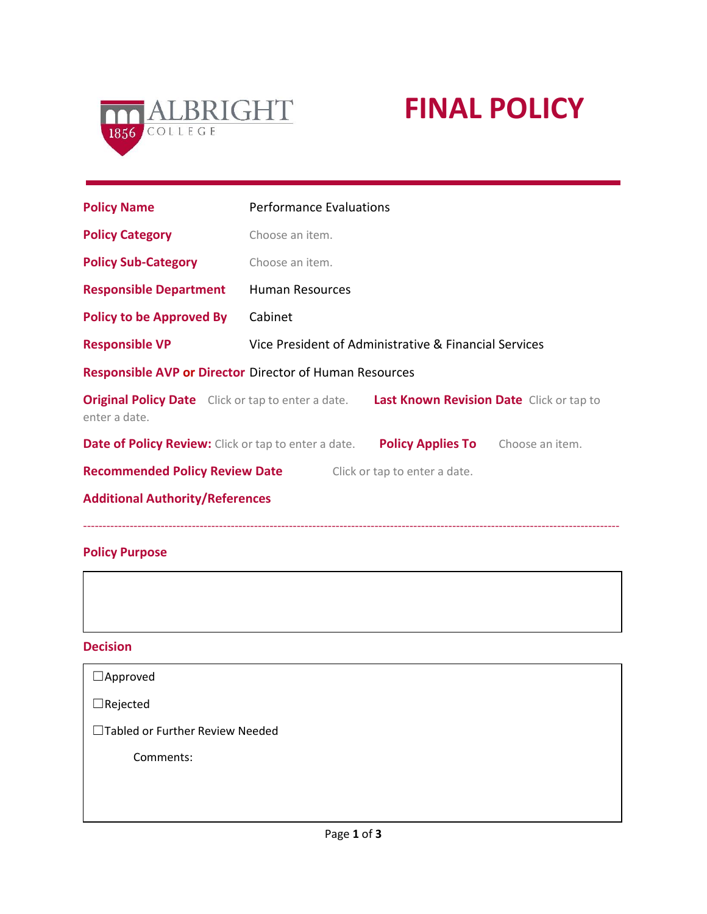

# **FINAL POLICY**

| <b>Policy Name</b>                                                                                                  | <b>Performance Evaluations</b> |                                                       |  |  |
|---------------------------------------------------------------------------------------------------------------------|--------------------------------|-------------------------------------------------------|--|--|
| <b>Policy Category</b>                                                                                              | Choose an item.                |                                                       |  |  |
| <b>Policy Sub-Category</b>                                                                                          | Choose an item.                |                                                       |  |  |
| <b>Responsible Department</b>                                                                                       | Human Resources                |                                                       |  |  |
| <b>Policy to be Approved By</b>                                                                                     | Cabinet                        |                                                       |  |  |
| <b>Responsible VP</b>                                                                                               |                                | Vice President of Administrative & Financial Services |  |  |
| <b>Responsible AVP or Director Director of Human Resources</b>                                                      |                                |                                                       |  |  |
| <b>Original Policy Date</b> Click or tap to enter a date. Last Known Revision Date Click or tap to<br>enter a date. |                                |                                                       |  |  |
| <b>Date of Policy Review:</b> Click or tap to enter a date. Policy Applies To Choose an item.                       |                                |                                                       |  |  |
| <b>Recommended Policy Review Date</b>                                                                               |                                | Click or tap to enter a date.                         |  |  |
| <b>Additional Authority/References</b>                                                                              |                                |                                                       |  |  |

## **Policy Purpose**

**Decision**

| $\Box$ Approved                  |  |
|----------------------------------|--|
| $\Box$ Rejected                  |  |
| □Tabled or Further Review Needed |  |
| Comments:                        |  |
|                                  |  |
|                                  |  |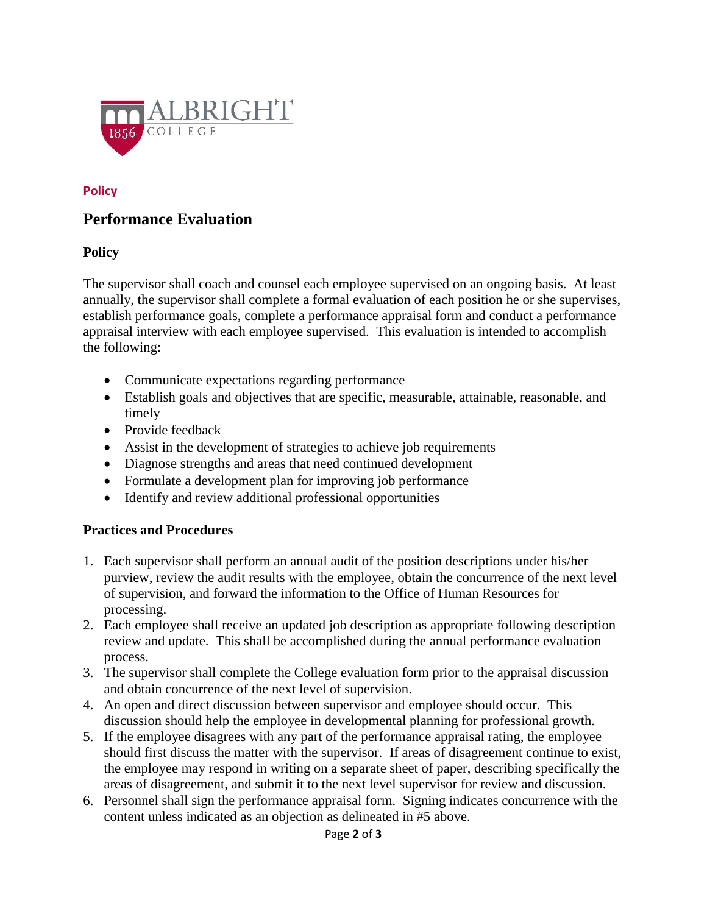

### **Policy**

## **Performance Evaluation**

#### **Policy**

The supervisor shall coach and counsel each employee supervised on an ongoing basis. At least annually, the supervisor shall complete a formal evaluation of each position he or she supervises, establish performance goals, complete a performance appraisal form and conduct a performance appraisal interview with each employee supervised. This evaluation is intended to accomplish the following:

- Communicate expectations regarding performance
- Establish goals and objectives that are specific, measurable, attainable, reasonable, and timely
- Provide feedback
- Assist in the development of strategies to achieve job requirements
- Diagnose strengths and areas that need continued development
- Formulate a development plan for improving job performance
- Identify and review additional professional opportunities

## **Practices and Procedures**

- 1. Each supervisor shall perform an annual audit of the position descriptions under his/her purview, review the audit results with the employee, obtain the concurrence of the next level of supervision, and forward the information to the Office of Human Resources for processing.
- 2. Each employee shall receive an updated job description as appropriate following description review and update. This shall be accomplished during the annual performance evaluation process.
- 3. The supervisor shall complete the College evaluation form prior to the appraisal discussion and obtain concurrence of the next level of supervision.
- 4. An open and direct discussion between supervisor and employee should occur. This discussion should help the employee in developmental planning for professional growth.
- 5. If the employee disagrees with any part of the performance appraisal rating, the employee should first discuss the matter with the supervisor. If areas of disagreement continue to exist, the employee may respond in writing on a separate sheet of paper, describing specifically the areas of disagreement, and submit it to the next level supervisor for review and discussion.
- 6. Personnel shall sign the performance appraisal form. Signing indicates concurrence with the content unless indicated as an objection as delineated in #5 above.